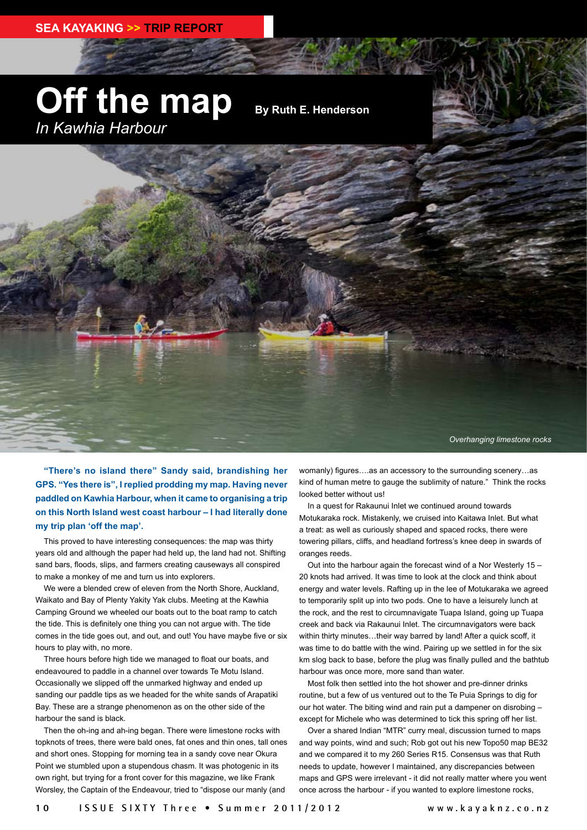## **Off the map** *In Kawhia Harbour*

**By Ruth E. Henderson**

*Overhanging limestone rocks*

**"There's no island there" Sandy said, brandishing her GPS. "Yes there is", I replied prodding my map. Having never paddled on Kawhia Harbour, when it came to organising a trip on this North Island west coast harbour – I had literally done my trip plan 'off the map'.** 

This proved to have interesting consequences: the map was thirty years old and although the paper had held up, the land had not. Shifting sand bars, floods, slips, and farmers creating causeways all conspired to make a monkey of me and turn us into explorers.

We were a blended crew of eleven from the North Shore, Auckland, Waikato and Bay of Plenty Yakity Yak clubs. Meeting at the Kawhia Camping Ground we wheeled our boats out to the boat ramp to catch the tide. This is definitely one thing you can not argue with. The tide comes in the tide goes out, and out, and out! You have maybe five or six hours to play with, no more.

Three hours before high tide we managed to float our boats, and endeavoured to paddle in a channel over towards Te Motu Island. Occasionally we slipped off the unmarked highway and ended up sanding our paddle tips as we headed for the white sands of Arapatiki Bay. These are a strange phenomenon as on the other side of the harbour the sand is black.

Then the oh-ing and ah-ing began. There were limestone rocks with topknots of trees, there were bald ones, fat ones and thin ones, tall ones and short ones. Stopping for morning tea in a sandy cove near Okura Point we stumbled upon a stupendous chasm. It was photogenic in its own right, but trying for a front cover for this magazine, we like Frank Worsley, the Captain of the Endeavour, tried to "dispose our manly (and

womanly) figures….as an accessory to the surrounding scenery…as kind of human metre to gauge the sublimity of nature." Think the rocks looked better without us!

In a quest for Rakaunui Inlet we continued around towards Motukaraka rock. Mistakenly, we cruised into Kaitawa Inlet. But what a treat: as well as curiously shaped and spaced rocks, there were towering pillars, cliffs, and headland fortress's knee deep in swards of oranges reeds.

Out into the harbour again the forecast wind of a Nor Westerly 15 – 20 knots had arrived. It was time to look at the clock and think about energy and water levels. Rafting up in the lee of Motukaraka we agreed to temporarily split up into two pods. One to have a leisurely lunch at the rock, and the rest to circumnavigate Tuapa Island, going up Tuapa creek and back via Rakaunui Inlet. The circumnavigators were back within thirty minutes…their way barred by land! After a quick scoff, it was time to do battle with the wind. Pairing up we settled in for the six km slog back to base, before the plug was finally pulled and the bathtub harbour was once more, more sand than water.

Most folk then settled into the hot shower and pre-dinner drinks routine, but a few of us ventured out to the Te Puia Springs to dig for our hot water. The biting wind and rain put a dampener on disrobing – except for Michele who was determined to tick this spring off her list.

Over a shared Indian "MTR" curry meal, discussion turned to maps and way points, wind and such; Rob got out his new Topo50 map BE32 and we compared it to my 260 Series R15. Consensus was that Ruth needs to update, however I maintained, any discrepancies between maps and GPS were irrelevant - it did not really matter where you went once across the harbour - if you wanted to explore limestone rocks,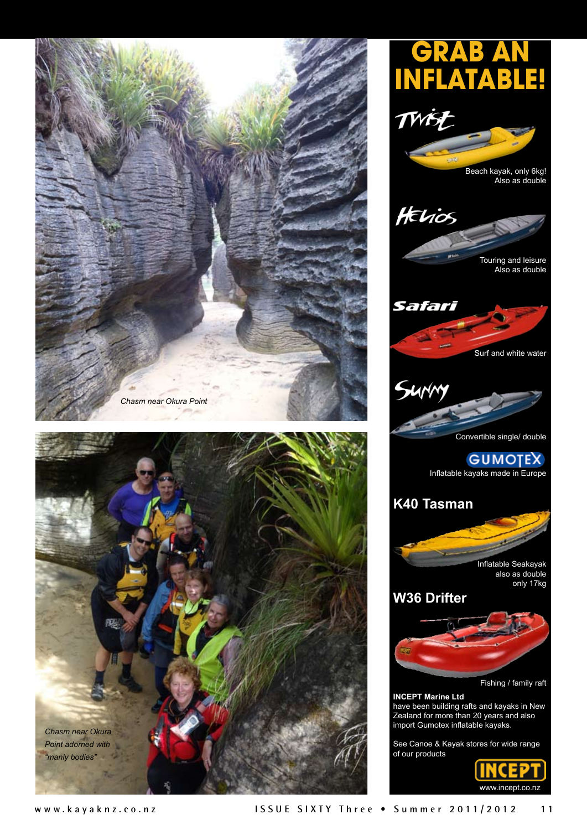



www.incept.co.nz